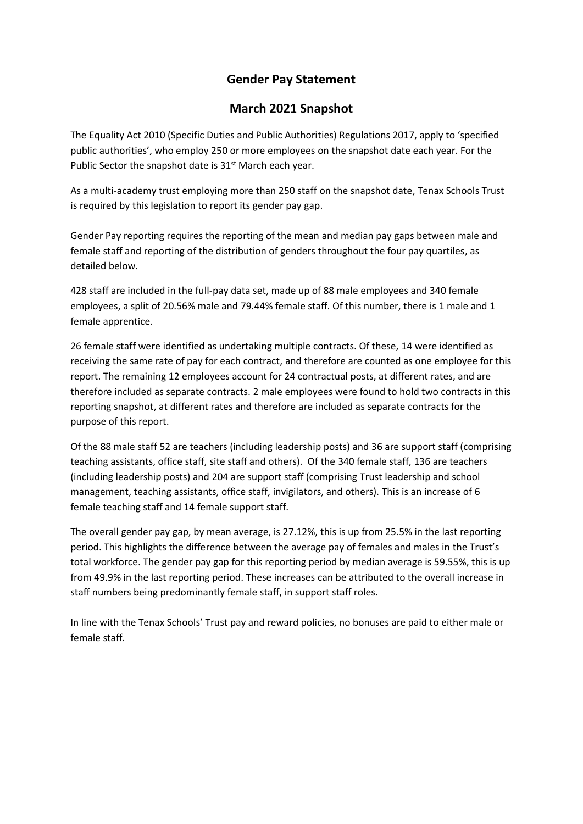## **Gender Pay Statement**

## **March 2021 Snapshot**

The Equality Act 2010 (Specific Duties and Public Authorities) Regulations 2017, apply to 'specified public authorities', who employ 250 or more employees on the snapshot date each year. For the Public Sector the snapshot date is 31<sup>st</sup> March each year.

As a multi-academy trust employing more than 250 staff on the snapshot date, Tenax Schools Trust is required by this legislation to report its gender pay gap.

Gender Pay reporting requires the reporting of the mean and median pay gaps between male and female staff and reporting of the distribution of genders throughout the four pay quartiles, as detailed below.

428 staff are included in the full-pay data set, made up of 88 male employees and 340 female employees, a split of 20.56% male and 79.44% female staff. Of this number, there is 1 male and 1 female apprentice.

26 female staff were identified as undertaking multiple contracts. Of these, 14 were identified as receiving the same rate of pay for each contract, and therefore are counted as one employee for this report. The remaining 12 employees account for 24 contractual posts, at different rates, and are therefore included as separate contracts. 2 male employees were found to hold two contracts in this reporting snapshot, at different rates and therefore are included as separate contracts for the purpose of this report.

Of the 88 male staff 52 are teachers (including leadership posts) and 36 are support staff (comprising teaching assistants, office staff, site staff and others). Of the 340 female staff, 136 are teachers (including leadership posts) and 204 are support staff (comprising Trust leadership and school management, teaching assistants, office staff, invigilators, and others). This is an increase of 6 female teaching staff and 14 female support staff.

The overall gender pay gap, by mean average, is 27.12%, this is up from 25.5% in the last reporting period. This highlights the difference between the average pay of females and males in the Trust's total workforce. The gender pay gap for this reporting period by median average is 59.55%, this is up from 49.9% in the last reporting period. These increases can be attributed to the overall increase in staff numbers being predominantly female staff, in support staff roles.

In line with the Tenax Schools' Trust pay and reward policies, no bonuses are paid to either male or female staff.